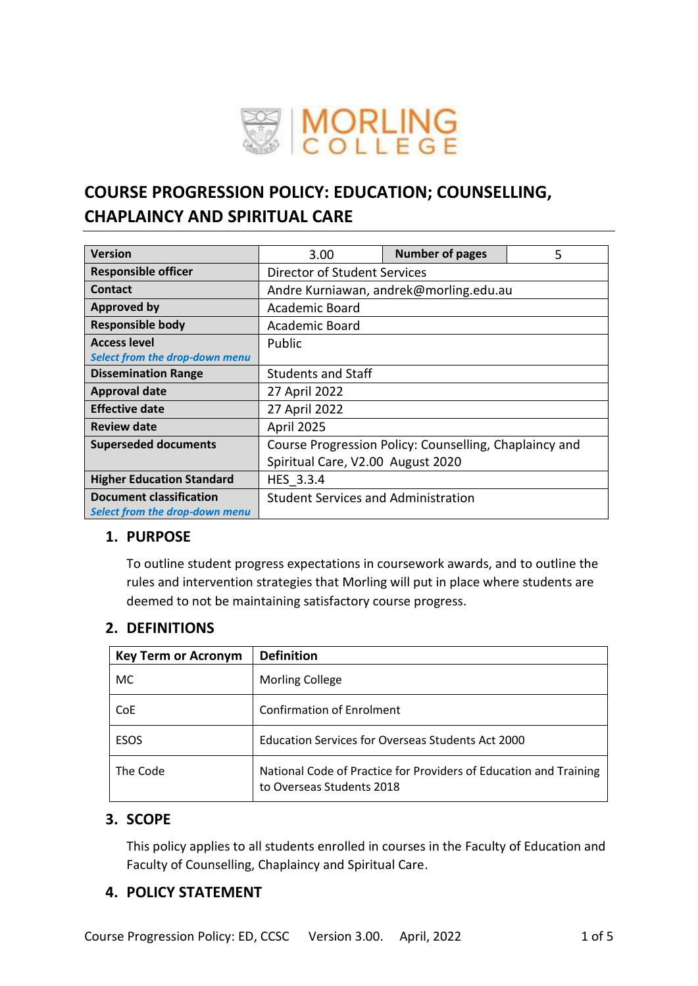

# **COURSE PROGRESSION POLICY: EDUCATION; COUNSELLING, CHAPLAINCY AND SPIRITUAL CARE**

| <b>Version</b>                        | 3.00                                                   | <b>Number of pages</b> | 5 |  |  |
|---------------------------------------|--------------------------------------------------------|------------------------|---|--|--|
| <b>Responsible officer</b>            | Director of Student Services                           |                        |   |  |  |
| Contact                               | Andre Kurniawan, andrek@morling.edu.au                 |                        |   |  |  |
| <b>Approved by</b>                    | Academic Board                                         |                        |   |  |  |
| <b>Responsible body</b>               | Academic Board                                         |                        |   |  |  |
| <b>Access level</b>                   | Public                                                 |                        |   |  |  |
| <b>Select from the drop-down menu</b> |                                                        |                        |   |  |  |
| <b>Dissemination Range</b>            | <b>Students and Staff</b>                              |                        |   |  |  |
| <b>Approval date</b>                  | 27 April 2022                                          |                        |   |  |  |
| <b>Effective date</b>                 | 27 April 2022                                          |                        |   |  |  |
| <b>Review date</b>                    | April 2025                                             |                        |   |  |  |
| <b>Superseded documents</b>           | Course Progression Policy: Counselling, Chaplaincy and |                        |   |  |  |
|                                       | Spiritual Care, V2.00 August 2020                      |                        |   |  |  |
| <b>Higher Education Standard</b>      | HES 3.3.4                                              |                        |   |  |  |
| <b>Document classification</b>        | <b>Student Services and Administration</b>             |                        |   |  |  |
| Select from the drop-down menu        |                                                        |                        |   |  |  |

## **1. PURPOSE**

To outline student progress expectations in coursework awards, and to outline the rules and intervention strategies that Morling will put in place where students are deemed to not be maintaining satisfactory course progress.

## **2. DEFINITIONS**

| <b>Key Term or Acronym</b> | <b>Definition</b>                                                                              |
|----------------------------|------------------------------------------------------------------------------------------------|
| MC                         | <b>Morling College</b>                                                                         |
| CoE                        | <b>Confirmation of Enrolment</b>                                                               |
| <b>ESOS</b>                | <b>Education Services for Overseas Students Act 2000</b>                                       |
| The Code                   | National Code of Practice for Providers of Education and Training<br>to Overseas Students 2018 |

## **3. SCOPE**

This policy applies to all students enrolled in courses in the Faculty of Education and Faculty of Counselling, Chaplaincy and Spiritual Care.

## **4. POLICY STATEMENT**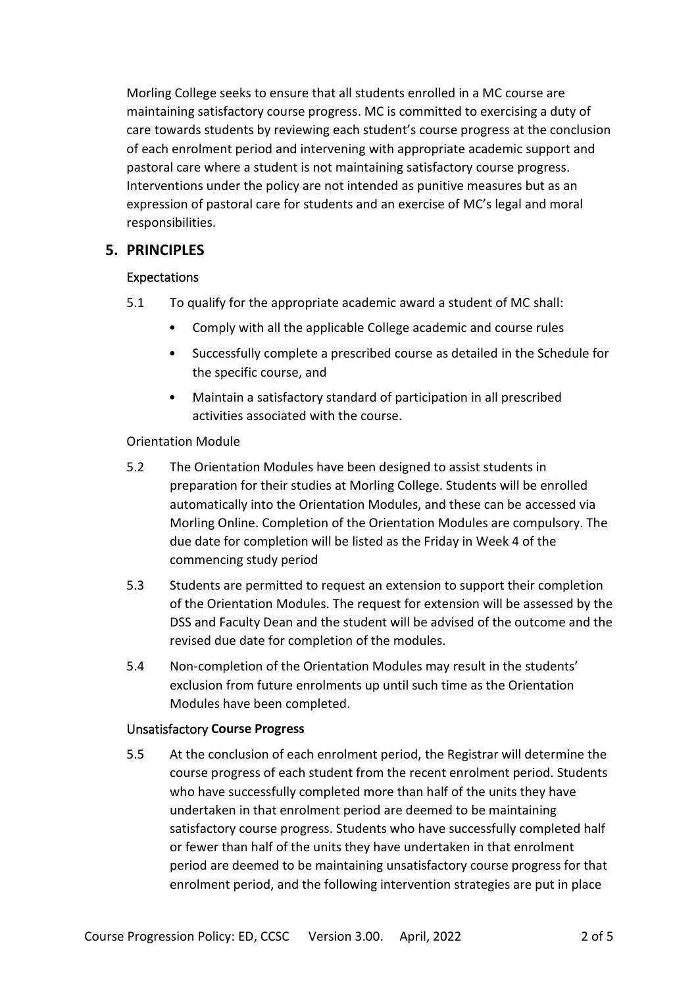Morling College seeks to ensure that all students enrolled in a MC course are maintaining satisfactory course progress. MC is committed to exercising a duty of care towards students by reviewing each student's course progress at the conclusion of each enrolment period and intervening with appropriate academic support and pastoral care where a student is not maintaining satisfactory course progress. Interventions under the policy are not intended as punitive measures but as an expression of pastoral care for students and an exercise of MC's legal and moral responsibilities.

# **5. PRINCIPLES**

## Expectations

- 5.1 To qualify for the appropriate academic award a student of MC shall:
	- Comply with all the applicable College academic and course rules
	- Successfully complete a prescribed course as detailed in the Schedule for the specific course, and
	- Maintain a satisfactory standard of participation in all prescribed activities associated with the course.

## Orientation Module

- 5.2 The Orientation Modules have been designed to assist students in preparation for their studies at Morling College. Students will be enrolled automatically into the Orientation Modules, and these can be accessed via Morling Online. Completion of the Orientation Modules are compulsory. The due date for completion will be listed as the Friday in Week 4 of the commencing study period
- 5.3 Students are permitted to request an extension to support their completion of the Orientation Modules. The request for extension will be assessed by the DSS and Faculty Dean and the student will be advised of the outcome and the revised due date for completion of the modules.
- 5.4 Non-completion of the Orientation Modules may result in the students' exclusion from future enrolments up until such time as the Orientation Modules have been completed.

#### Unsatisfactory **Course Progress**

5.5 At the conclusion of each enrolment period, the Registrar will determine the course progress of each student from the recent enrolment period. Students who have successfully completed more than half of the units they have undertaken in that enrolment period are deemed to be maintaining satisfactory course progress. Students who have successfully completed half or fewer than half of the units they have undertaken in that enrolment period are deemed to be maintaining unsatisfactory course progress for that enrolment period, and the following intervention strategies are put in place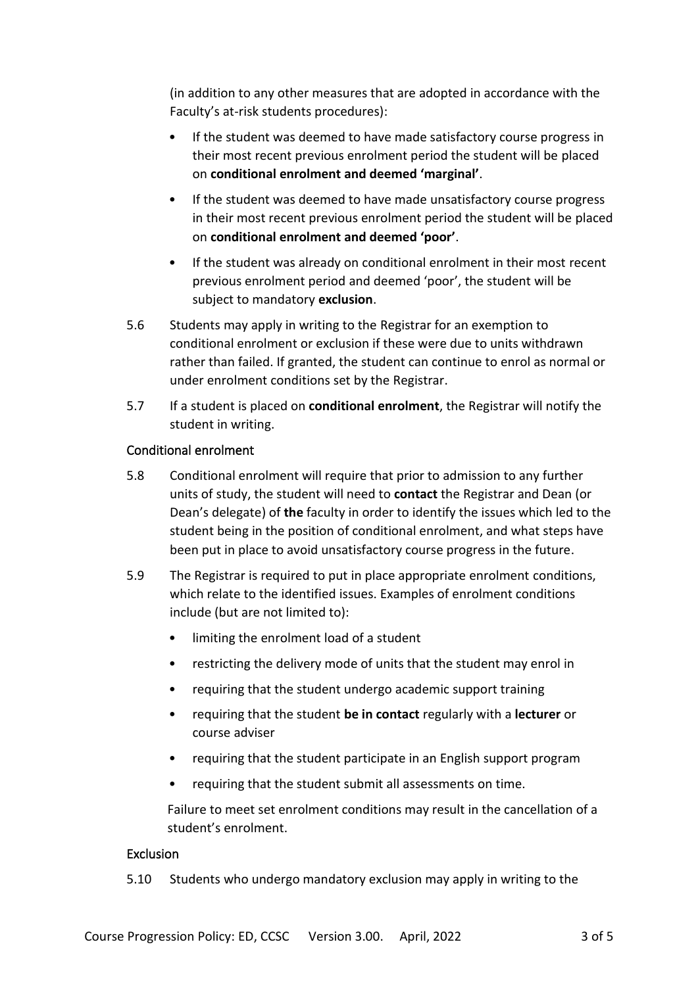(in addition to any other measures that are adopted in accordance with the Faculty's at-risk students procedures):

- If the student was deemed to have made satisfactory course progress in their most recent previous enrolment period the student will be placed on **conditional enrolment and deemed 'marginal'**.
- If the student was deemed to have made unsatisfactory course progress in their most recent previous enrolment period the student will be placed on **conditional enrolment and deemed 'poor'**.
- If the student was already on conditional enrolment in their most recent previous enrolment period and deemed 'poor', the student will be subject to mandatory **exclusion**.
- 5.6 Students may apply in writing to the Registrar for an exemption to conditional enrolment or exclusion if these were due to units withdrawn rather than failed. If granted, the student can continue to enrol as normal or under enrolment conditions set by the Registrar.
- 5.7 If a student is placed on **conditional enrolment**, the Registrar will notify the student in writing.

## Conditional enrolment

- 5.8 Conditional enrolment will require that prior to admission to any further units of study, the student will need to **contact** the Registrar and Dean (or Dean's delegate) of **the** faculty in order to identify the issues which led to the student being in the position of conditional enrolment, and what steps have been put in place to avoid unsatisfactory course progress in the future.
- 5.9 The Registrar is required to put in place appropriate enrolment conditions, which relate to the identified issues. Examples of enrolment conditions include (but are not limited to):
	- limiting the enrolment load of a student
	- restricting the delivery mode of units that the student may enrol in
	- requiring that the student undergo academic support training
	- requiring that the student **be in contact** regularly with a **lecturer** or course adviser
	- requiring that the student participate in an English support program
	- requiring that the student submit all assessments on time.

Failure to meet set enrolment conditions may result in the cancellation of a student's enrolment.

## Exclusion

5.10 Students who undergo mandatory exclusion may apply in writing to the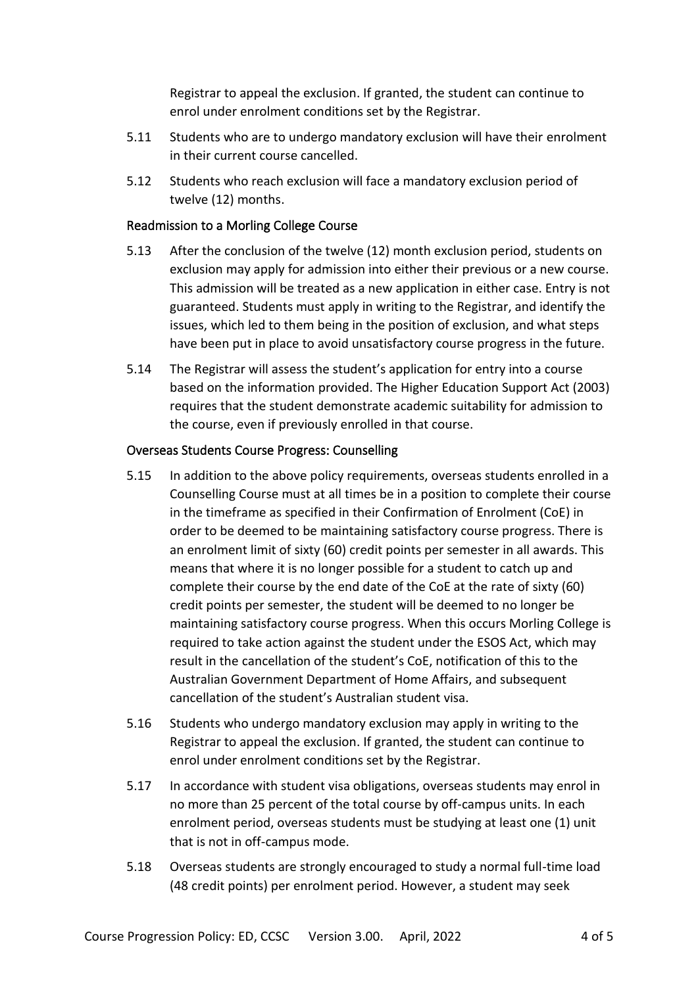Registrar to appeal the exclusion. If granted, the student can continue to enrol under enrolment conditions set by the Registrar.

- 5.11 Students who are to undergo mandatory exclusion will have their enrolment in their current course cancelled.
- 5.12 Students who reach exclusion will face a mandatory exclusion period of twelve (12) months.

## Readmission to a Morling College Course

- 5.13 After the conclusion of the twelve (12) month exclusion period, students on exclusion may apply for admission into either their previous or a new course. This admission will be treated as a new application in either case. Entry is not guaranteed. Students must apply in writing to the Registrar, and identify the issues, which led to them being in the position of exclusion, and what steps have been put in place to avoid unsatisfactory course progress in the future.
- 5.14 The Registrar will assess the student's application for entry into a course based on the information provided. The Higher Education Support Act (2003) requires that the student demonstrate academic suitability for admission to the course, even if previously enrolled in that course.

#### Overseas Students Course Progress: Counselling

- 5.15 In addition to the above policy requirements, overseas students enrolled in a Counselling Course must at all times be in a position to complete their course in the timeframe as specified in their Confirmation of Enrolment (CoE) in order to be deemed to be maintaining satisfactory course progress. There is an enrolment limit of sixty (60) credit points per semester in all awards. This means that where it is no longer possible for a student to catch up and complete their course by the end date of the CoE at the rate of sixty (60) credit points per semester, the student will be deemed to no longer be maintaining satisfactory course progress. When this occurs Morling College is required to take action against the student under the ESOS Act, which may result in the cancellation of the student's CoE, notification of this to the Australian Government Department of Home Affairs, and subsequent cancellation of the student's Australian student visa.
- 5.16 Students who undergo mandatory exclusion may apply in writing to the Registrar to appeal the exclusion. If granted, the student can continue to enrol under enrolment conditions set by the Registrar.
- 5.17 In accordance with student visa obligations, overseas students may enrol in no more than 25 percent of the total course by off-campus units. In each enrolment period, overseas students must be studying at least one (1) unit that is not in off-campus mode.
- 5.18 Overseas students are strongly encouraged to study a normal full-time load (48 credit points) per enrolment period. However, a student may seek